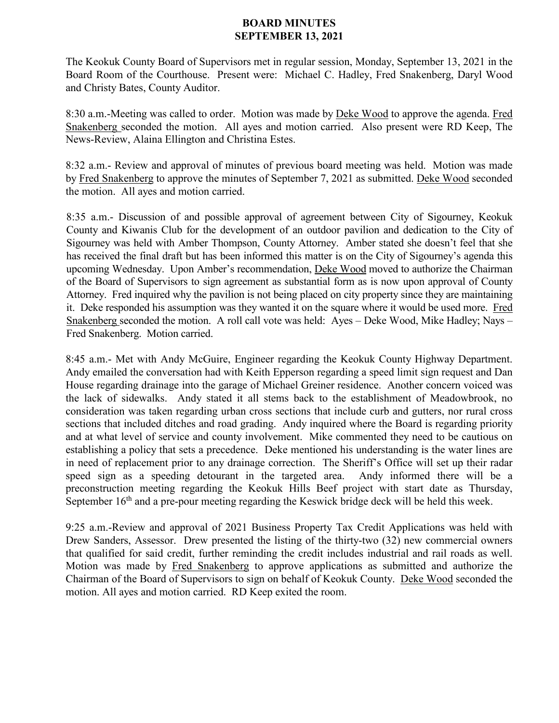## **BOARD MINUTES SEPTEMBER 13, 2021**

The Keokuk County Board of Supervisors met in regular session, Monday, September 13, 2021 in the Board Room of the Courthouse. Present were: Michael C. Hadley, Fred Snakenberg, Daryl Wood and Christy Bates, County Auditor.

8:30 a.m.-Meeting was called to order. Motion was made by Deke Wood to approve the agenda. Fred Snakenberg seconded the motion. All ayes and motion carried. Also present were RD Keep, The News-Review, Alaina Ellington and Christina Estes.

8:32 a.m.- Review and approval of minutes of previous board meeting was held. Motion was made by Fred Snakenberg to approve the minutes of September 7, 2021 as submitted. Deke Wood seconded the motion. All ayes and motion carried.

8:35 a.m.- Discussion of and possible approval of agreement between City of Sigourney, Keokuk County and Kiwanis Club for the development of an outdoor pavilion and dedication to the City of Sigourney was held with Amber Thompson, County Attorney. Amber stated she doesn't feel that she has received the final draft but has been informed this matter is on the City of Sigourney's agenda this upcoming Wednesday. Upon Amber's recommendation, Deke Wood moved to authorize the Chairman of the Board of Supervisors to sign agreement as substantial form as is now upon approval of County Attorney. Fred inquired why the pavilion is not being placed on city property since they are maintaining it. Deke responded his assumption was they wanted it on the square where it would be used more. Fred Snakenberg seconded the motion. A roll call vote was held: Ayes – Deke Wood, Mike Hadley; Nays – Fred Snakenberg. Motion carried.

8:45 a.m.- Met with Andy McGuire, Engineer regarding the Keokuk County Highway Department. Andy emailed the conversation had with Keith Epperson regarding a speed limit sign request and Dan House regarding drainage into the garage of Michael Greiner residence. Another concern voiced was the lack of sidewalks. Andy stated it all stems back to the establishment of Meadowbrook, no consideration was taken regarding urban cross sections that include curb and gutters, nor rural cross sections that included ditches and road grading. Andy inquired where the Board is regarding priority and at what level of service and county involvement. Mike commented they need to be cautious on establishing a policy that sets a precedence. Deke mentioned his understanding is the water lines are in need of replacement prior to any drainage correction. The Sheriff's Office will set up their radar speed sign as a speeding detourant in the targeted area. Andy informed there will be a preconstruction meeting regarding the Keokuk Hills Beef project with start date as Thursday, September  $16<sup>th</sup>$  and a pre-pour meeting regarding the Keswick bridge deck will be held this week.

9:25 a.m.-Review and approval of 2021 Business Property Tax Credit Applications was held with Drew Sanders, Assessor. Drew presented the listing of the thirty-two (32) new commercial owners that qualified for said credit, further reminding the credit includes industrial and rail roads as well. Motion was made by Fred Snakenberg to approve applications as submitted and authorize the Chairman of the Board of Supervisors to sign on behalf of Keokuk County. Deke Wood seconded the motion. All ayes and motion carried. RD Keep exited the room.